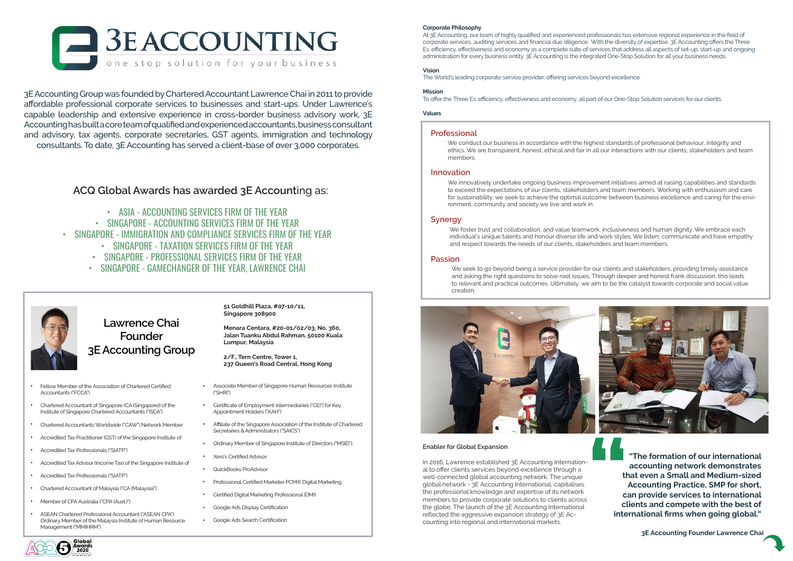## **Corporate Philosophy**

At 3E Accounting, our team of highly qualified and experienced professionals has extensive regional experience in the field of corporate services, auditing services and financial due diligence. With the diversity of expertise, 3E Accounting offers the Three Es: efficiency, effectiveness and economy as a complete suite of services that address all aspects of set-up, start-up and ongoing administration for every business entity. 3E Accounting is the integrated One-Stop Solution for all your business needs.

# **Vision**

The World's leading corporate service provider, offering services beyond excellence.

## **Mission**

To offer the Three Es: efficiency, effectiveness and economy, all part of our One-Stop Solution services for our clients.

## **Values**

**"The formation of our international accounting network demonstrates that even a Small and Medium-sized Accounting Practice, SMP for short, can provide services to international clients and compete with the best of international firms when going global."**

**3E Accounting Founder Lawrence Chai**



3E Accounting Group was founded by Chartered Accountant Lawrence Chai in 2011 to provide affordable professional corporate services to businesses and start-ups. Under Lawrence's capable leadership and extensive experience in cross-border business advisory work, 3E Accounting has built a core team of qualified and experienced accountants, business consultant and advisory, tax agents, corporate secretaries, GST agents, immigration and technology consultants. To date, 3E Accounting has served a client-base of over 3,000 corporates.

# **Lawrence Chai Founder 3E Accounting Group**

- ASIA ACCOUNTING SERVICES FIRM OF THE YEAR
- SINGAPORE ACCOUNTING SERVICES FIRM OF THE YEAR
- SINGAPORE IMMIGRATION AND COMPLIANCE SERVICES FIRM OF THE YEAR
	- SINGAPORE TAXATION SERVICES FIRM OF THE YEAR
	- SINGAPORE PROFESSIONAL SERVICES FIRM OF THE YEAR
	- SINGAPORE GAMECHANGER OF THE YEAR, LAWRENCE CHAI

# **ACQ Global Awards has awarded 3E Account**ing as:

## **Enabler for Global Expansion**

In 2016, Lawrence established 3E Accounting International to offer clients services beyond excellence through a well-connected global accounting network. The unique global network - 3E Accounting International, capitalises the professional knowledge and expertise of its network members to provide corporate solutions to clients across the globe. The launch of the 3E Accounting International reflected the aggressive expansion strategy of 3E Accounting into regional and international markets.

**51 Goldhill Plaza, #07-10/11, Singapore 308900**

**Menara Centara, #20-01/02/03, No. 360, Jalan Tuanku Abdul Rahman, 50100 Kuala Lumpur, Malaysia**

We seek to go beyond being a service provider for our clients and stakeholders, providing timely assistance and asking the right questions to solve root issues. Through deeper and honest frank discussion, this leads to relevant and practical outcomes. Ultimately, we aim to be the catalyst towards corporate and social value creation.





**2/F., Tern Centre, Tower 1, 237 Queen's Road Central, Hong Kong**

- Fellow Member of the Association of Chartered Certified Accountants ("FCCA") •
- Chartered Accountant of Singapore (CA (Singapore)) of the Institute of Singapore Chartered Accountants ("ISCA")
- Chartered Accountants Worldwide ("CAW") Network Member •
- Accredited Tax Practitioner (GST) of the Singapore Institute of
- Accredited Tax Professionals ("SIATP") •
- Accredited Tax Advisor (Income Tax) of the Singapore Institute of •
- Accredited Tax Professionals ("SIATP") •
- Chartered Accountant of Malaysia ("CA (Malaysia)") •
- Member of CPA Australia ("CPA (Aust.)") •
- ASEAN Chartered Professional Accountant ("ASEAN CPA") Ordinary Member of the Malaysia Institute of Human Resource Management ("MMIHRM") •
- Associate Member of Singapore Human Resources Institute ("SHRI")
- Certificate of Employment Intermediaries ("CEI") for Key Appointment Holders ("KAH") •
- Affiliate of the Singapore Association of the Institute of Chartered Secretaries & Administrators ("SAICS") •
- Ordinary Member of Singapore Institute of Directors ("MSID").
- Xero's Certified Advisor •
- QuickBooks ProAdvisor •
- Professional Certified Marketer PCM® Digital Marketing •
- Certified Digital Marketing Professional (DMI) •
- Google Ads Display Certification •
- Google Ads Search Certification •

•



# **Professional**

We conduct our business in accordance with the highest standards of professional behaviour, integrity and ethics. We are transparent, honest, ethical and fair in all our interactions with our clients, stakeholders and team members.

# **Innovation**

We innovatively undertake ongoing business improvement initiatives aimed at raising capabilities and standards to exceed the expectations of our clients, stakeholders and team members. Working with enthusiasm and care for sustainability, we seek to achieve the optimal outcome between business excellence and caring for the environment, community and society we live and work in.

# **Synergy**

We foster trust and collaboration, and value teamwork, inclusiveness and human dignity. We embrace each individual's unique talents and honour diverse life and work styles. We listen, communicate and have empathy and respect towards the needs of our clients, stakeholders and team members.

# **Passion**